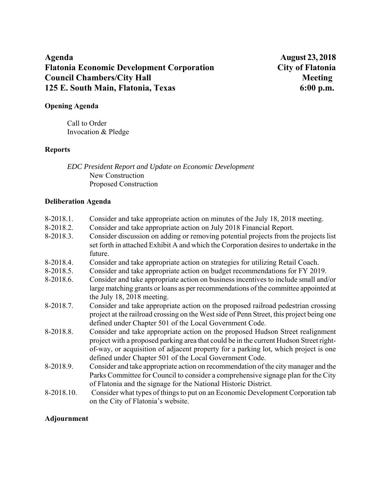# Agenda **August 23, 2018 Flatonia Economic Development Corporation City of Flatonia Council Chambers/City Hall Meeting Meeting Meeting Meeting Meeting Meeting Meeting Meeting Meeting Meeting Meeting Meeting Meeting Meeting Meeting Meeting Meeting Meeting Meeting Meeting Meeting Meeting Meeting Meeting Me 125 E. South Main, Flatonia, Texas 6:00 p.m.**

## **Opening Agenda**

Call to Order Invocation & Pledge

#### **Reports**

*EDC President Report and Update on Economic Development*  New Construction Proposed Construction

#### **Deliberation Agenda**

| 8-2018.1.  | Consider and take appropriate action on minutes of the July 18, 2018 meeting.                                                                                                                                                                                                                                              |
|------------|----------------------------------------------------------------------------------------------------------------------------------------------------------------------------------------------------------------------------------------------------------------------------------------------------------------------------|
| 8-2018.2.  | Consider and take appropriate action on July 2018 Financial Report.                                                                                                                                                                                                                                                        |
| 8-2018.3.  | Consider discussion on adding or removing potential projects from the projects list<br>set forth in attached Exhibit A and which the Corporation desires to undertake in the<br>future.                                                                                                                                    |
| 8-2018.4.  | Consider and take appropriate action on strategies for utilizing Retail Coach.                                                                                                                                                                                                                                             |
| 8-2018.5.  | Consider and take appropriate action on budget recommendations for FY 2019.                                                                                                                                                                                                                                                |
| 8-2018.6.  | Consider and take appropriate action on business incentives to include small and/or<br>large matching grants or loans as per recommendations of the committee appointed at<br>the July 18, 2018 meeting.                                                                                                                   |
| 8-2018.7.  | Consider and take appropriate action on the proposed railroad pedestrian crossing<br>project at the railroad crossing on the West side of Penn Street, this project being one<br>defined under Chapter 501 of the Local Government Code.                                                                                   |
| 8-2018.8.  | Consider and take appropriate action on the proposed Hudson Street realignment<br>project with a proposed parking area that could be in the current Hudson Street right-<br>of-way, or acquisition of adjacent property for a parking lot, which project is one<br>defined under Chapter 501 of the Local Government Code. |
| 8-2018.9.  | Consider and take appropriate action on recommendation of the city manager and the<br>Parks Committee for Council to consider a comprehensive signage plan for the City<br>of Flatonia and the signage for the National Historic District.                                                                                 |
| 8-2018.10. | Consider what types of things to put on an Economic Development Corporation tab<br>on the City of Flatonia's website.                                                                                                                                                                                                      |

### **Adjournment**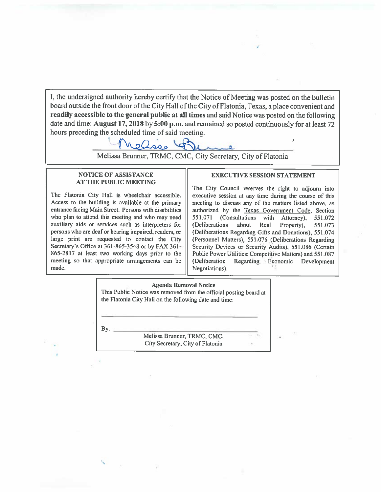I, the undersigned authority hereby certify that the Notice of Meeting was posted on the bulletin board outside the front door of the City Hall of the City of Flatonia, Texas, a place convenient and readily accessible to the general public at all times and said Notice was posted on the following date and time: August 17, 2018 by 5:00 p.m. and remained so posted continuously for at least 72 hours preceding the scheduled time of said meeting.



Melissa Brunner, TRMC, CMC, City Secretary, City of Flatonia

#### **NOTICE OF ASSISTANCE AT THE PUBLIC MEETING**

The Flatonia City Hall is wheelchair accessible. Access to the building is available at the primary entrance facing Main Street. Persons with disabilities who plan to attend this meeting and who may need auxiliary aids or services such as interpreters for persons who are deaf or hearing impaired, readers, or large print are requested to contact the City Secretary's Office at 361-865-3548 or by FAX 361-865-2817 at least two working days prior to the meeting so that appropriate arrangements can be made.

#### **EXECUTIVE SESSION STATEMENT**

The City Council reserves the right to adjourn into executive session at any time during the course of this meeting to discuss any of the matters listed above, as authorized by the Texas Government Code, Section 551.071 (Consultations with Attorney). 551.072 (Deliberations about Real Property), 551.073 (Deliberations Regarding Gifts and Donations), 551.074 (Personnel Matters), 551.076 (Deliberations Regarding Security Devices or Security Audits), 551.086 (Certain Public Power Utilities: Competitive Matters) and 551.087 Regarding Economic (Deliberation Development Negotiations).